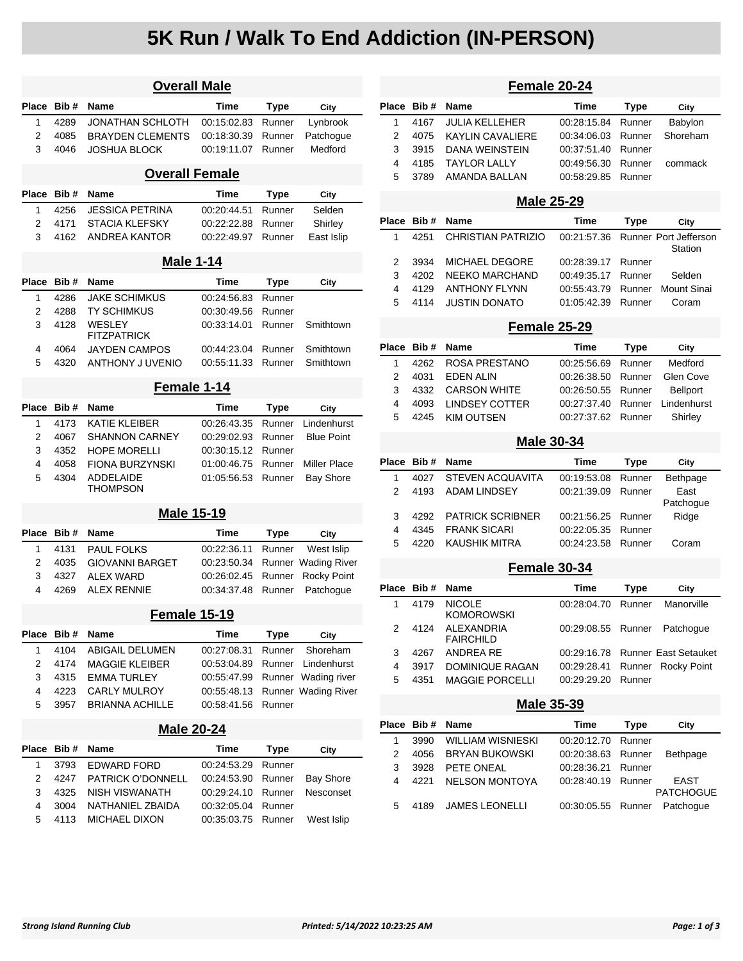# **5K Run / Walk To End Addiction (IN-PERSON)**

| <b>Overall Male</b> |      |                                     |             |             |                     |  |
|---------------------|------|-------------------------------------|-------------|-------------|---------------------|--|
| Place               | Bib# | Name                                | Time        | Type        | City                |  |
| 1                   | 4289 | JONATHAN SCHLOTH                    | 00:15:02.83 | Runner      | Lynbrook            |  |
| 2                   | 4085 | <b>BRAYDEN CLEMENTS</b>             | 00:18:30.39 | Runner      | Patchogue           |  |
| 3                   | 4046 | <b>JOSHUA BLOCK</b>                 | 00:19:11.07 | Runner      | Medford             |  |
|                     |      | <b>Overall Female</b>               |             |             |                     |  |
| Place               | Bib# | Name                                | Time        | Type        | City                |  |
| 1                   | 4256 | <b>JESSICA PETRINA</b>              | 00:20:44.51 | Runner      | Selden              |  |
| 2                   | 4171 | STACIA KLEFSKY                      | 00:22:22.88 | Runner      | Shirley             |  |
| 3                   | 4162 | ANDREA KANTOR                       | 00:22:49.97 | Runner      | East Islip          |  |
|                     |      | <b>Male 1-14</b>                    |             |             |                     |  |
| Place               | Bib# | Name                                | <b>Time</b> | Type        | City                |  |
| 1                   | 4286 | <b>JAKE SCHIMKUS</b>                | 00:24:56.83 | Runner      |                     |  |
| 2                   | 4288 | TY SCHIMKUS                         | 00:30:49.56 | Runner      |                     |  |
| 3                   | 4128 | <b>WESLEY</b><br><b>FITZPATRICK</b> | 00:33:14.01 | Runner      | Smithtown           |  |
| 4                   | 4064 | <b>JAYDEN CAMPOS</b>                | 00:44:23.04 | Runner      | Smithtown           |  |
| 5                   | 4320 | <b>ANTHONY J UVENIO</b>             | 00:55:11.33 | Runner      | Smithtown           |  |
|                     |      | Female 1-14                         |             |             |                     |  |
| Place               | Bib# | <b>Name</b>                         | Time        | Type        | City                |  |
| 1                   | 4173 | <b>KATIE KLEIBER</b>                | 00:26:43.35 | Runner      | Lindenhurst         |  |
| 2                   | 4067 | <b>SHANNON CARNEY</b>               | 00:29:02.93 | Runner      | <b>Blue Point</b>   |  |
| 3                   | 4352 | HOPE MORELLI                        | 00:30:15.12 | Runner      |                     |  |
| 4                   | 4058 | <b>FIONA BURZYNSKI</b>              | 01:00:46.75 | Runner      | <b>Miller Place</b> |  |
| 5                   | 4304 | <b>ADDELAIDE</b><br>THOMPSON        | 01:05:56.53 | Runner      | <b>Bay Shore</b>    |  |
|                     |      | <b>Male 15-19</b>                   |             |             |                     |  |
| <b>Place</b>        | Bib# | Name                                | Time        | <b>Type</b> | City                |  |
| 1                   | 4131 | <b>PAUL FOLKS</b>                   | 00:22:36.11 | Runner      | West Islip          |  |
| 2                   | 4035 | <b>GIOVANNI BARGET</b>              | 00:23:50.34 | Runner      | <b>Wading River</b> |  |
| 3                   | 4327 | <b>ALEX WARD</b>                    | 00:26:02.45 | Runner      | <b>Rocky Point</b>  |  |
| 4                   | 4269 | <b>ALEX RENNIE</b>                  | 00:34:37.48 | Runner      | Patchogue           |  |
|                     |      | Female 15-19                        |             |             |                     |  |
| Place               | Bib# | Name                                | <b>Time</b> | <b>Type</b> | City                |  |
| 1                   | 4104 | <b>ABIGAIL DELUMEN</b>              | 00:27:08.31 | Runner      | Shoreham            |  |
| 2                   | 4174 | <b>MAGGIE KLEIBER</b>               | 00:53:04.89 | Runner      | Lindenhurst         |  |
| 3                   | 4315 | <b>EMMA TURLEY</b>                  | 00:55:47.99 | Runner      | Wading river        |  |
| 4                   | 4223 | <b>CARLY MULROY</b>                 | 00:55:48.13 |             | Runner Wading River |  |
| 5                   | 3957 | <b>BRIANNA ACHILLE</b>              | 00:58:41.56 | Runner      |                     |  |
| <b>Male 20-24</b>   |      |                                     |             |             |                     |  |
| Place               | Bib# | <b>Name</b>                         | Time        | <b>Type</b> | City                |  |
| 1                   | 3793 | <b>EDWARD FORD</b>                  | 00:24:53.29 | Runner      |                     |  |
| 2                   | 4247 | <b>PATRICK O'DONNELL</b>            | 00:24:53.90 | Runner      | <b>Bay Shore</b>    |  |
| 3                   | 4325 | NISH VISWANATH                      | 00:29:24.10 | Runner      | Nesconset           |  |
| 4                   | 3004 | NATHANIEL ZBAIDA                    | 00:32:05.04 | Runner      |                     |  |
| 5                   | 4113 | <b>MICHAEL DIXON</b>                | 00:35:03.75 | Runner      | West Islip          |  |

| Female 20-24      |      |                                    |             |             |                                  |  |  |
|-------------------|------|------------------------------------|-------------|-------------|----------------------------------|--|--|
| Place             | Bib# | <b>Name</b>                        | <b>Time</b> | <b>Type</b> | City                             |  |  |
| 1                 | 4167 | JULIA KELLEHER                     | 00:28:15.84 | Runner      | Babylon                          |  |  |
| 2                 | 4075 | <b>KAYLIN CAVALIERE</b>            | 00:34:06.03 | Runner      | Shoreham                         |  |  |
| 3                 | 3915 | <b>DANA WEINSTEIN</b>              | 00:37:51.40 | Runner      |                                  |  |  |
| 4                 | 4185 | <b>TAYLOR LALLY</b>                | 00:49:56.30 | Runner      | commack                          |  |  |
| 5                 | 3789 | AMANDA BALLAN                      | 00:58:29.85 | Runner      |                                  |  |  |
|                   |      | <b>Male 25-29</b>                  |             |             |                                  |  |  |
| Place             | Bib# | <b>Name</b>                        | Time        | Type        | City                             |  |  |
| 1                 | 4251 | <b>CHRISTIAN PATRIZIO</b>          | 00:21:57.36 |             | Runner Port Jefferson<br>Station |  |  |
| 2                 | 3934 | <b>MICHAEL DEGORE</b>              | 00:28:39.17 | Runner      |                                  |  |  |
| 3                 | 4202 | <b>NEEKO MARCHAND</b>              | 00:49:35.17 | Runner      | Selden                           |  |  |
| 4                 |      | <b>ANTHONY FLYNN</b>               |             |             | Mount Sinai                      |  |  |
|                   | 4129 |                                    | 00:55:43.79 | Runner      |                                  |  |  |
| 5                 | 4114 | <b>JUSTIN DONATO</b>               | 01:05:42.39 | Runner      | Coram                            |  |  |
|                   |      | Female 25-29                       |             |             |                                  |  |  |
| Place             | Bib# | <b>Name</b>                        | Time        | <b>Type</b> | City                             |  |  |
| 1                 | 4262 | <b>ROSA PRESTANO</b>               | 00:25:56.69 | Runner      | Medford                          |  |  |
| 2                 | 4031 | <b>EDEN ALIN</b>                   | 00:26:38.50 | Runner      | Glen Cove                        |  |  |
| 3                 | 4332 | <b>CARSON WHITE</b>                | 00:26:50.55 | Runner      | Bellport                         |  |  |
| 4                 | 4093 | <b>LINDSEY COTTER</b>              | 00:27:37.40 | Runner      | Lindenhurst                      |  |  |
| 5                 | 4245 | <b>KIM OUTSEN</b>                  | 00:27:37.62 | Runner      | Shirley                          |  |  |
| <b>Male 30-34</b> |      |                                    |             |             |                                  |  |  |
| Place             | Bib# | Name                               | <b>Time</b> | <b>Type</b> | City                             |  |  |
| 1                 | 4027 | STEVEN ACQUAVITA                   | 00:19:53.08 | Runner      | Bethpage                         |  |  |
| 2                 | 4193 | <b>ADAM LINDSEY</b>                | 00:21:39.09 | Runner      | East                             |  |  |
| 3                 | 4292 | <b>PATRICK SCRIBNER</b>            | 00:21:56.25 | Runner      | Patchogue<br>Ridge               |  |  |
| 4                 | 4345 | <b>FRANK SICARI</b>                | 00:22:05.35 | Runner      |                                  |  |  |
| 5                 | 4220 | <b>KAUSHIK MITRA</b>               | 00:24:23.58 | Runner      | Coram                            |  |  |
|                   |      | Female 30-34                       |             |             |                                  |  |  |
|                   |      |                                    |             |             |                                  |  |  |
| Place             | Bib# | Name                               | Time        | Type        | City                             |  |  |
| 1                 | 4179 | <b>NICOLE</b><br><b>KOMOROWSKI</b> | 00:28:04.70 | Runner      | Manorville                       |  |  |
| 2                 | 4124 | ALEXANDRIA<br><b>FAIRCHILD</b>     | 00:29:08.55 | Runner      | Patchoque                        |  |  |
| 3                 | 4267 | ANDREA RE                          | 00:29:16.78 |             | <b>Runner East Setauket</b>      |  |  |
| 4                 | 3917 | DOMINIQUE RAGAN                    | 00:29:28.41 | Runner      | Rocky Point                      |  |  |
| 5                 | 4351 | <b>MAGGIE PORCELLI</b>             | 00:29:29.20 | Runner      |                                  |  |  |
| <b>Male 35-39</b> |      |                                    |             |             |                                  |  |  |
| Place             | Bib# | Name                               | <b>Time</b> | <b>Type</b> | City                             |  |  |
| 1                 | 3990 | <b>WILLIAM WISNIESKI</b>           | 00:20:12.70 | Runner      |                                  |  |  |
| 2                 | 4056 | <b>BRYAN BUKOWSKI</b>              | 00:20:38.63 | Runner      | Bethpage                         |  |  |
| 3                 |      |                                    |             |             |                                  |  |  |
|                   | 3928 | PETE ONEAL                         | 00:28:36.21 | Runner      |                                  |  |  |
| 4                 | 4221 | <b>NELSON MONTOYA</b>              | 00:28:40.19 | Runner      | EAST<br><b>PATCHOGUE</b>         |  |  |
| 5                 | 4189 | <b>JAMES LEONELLI</b>              | 00:30:05.55 | Runner      | Patchogue                        |  |  |
|                   |      |                                    |             |             |                                  |  |  |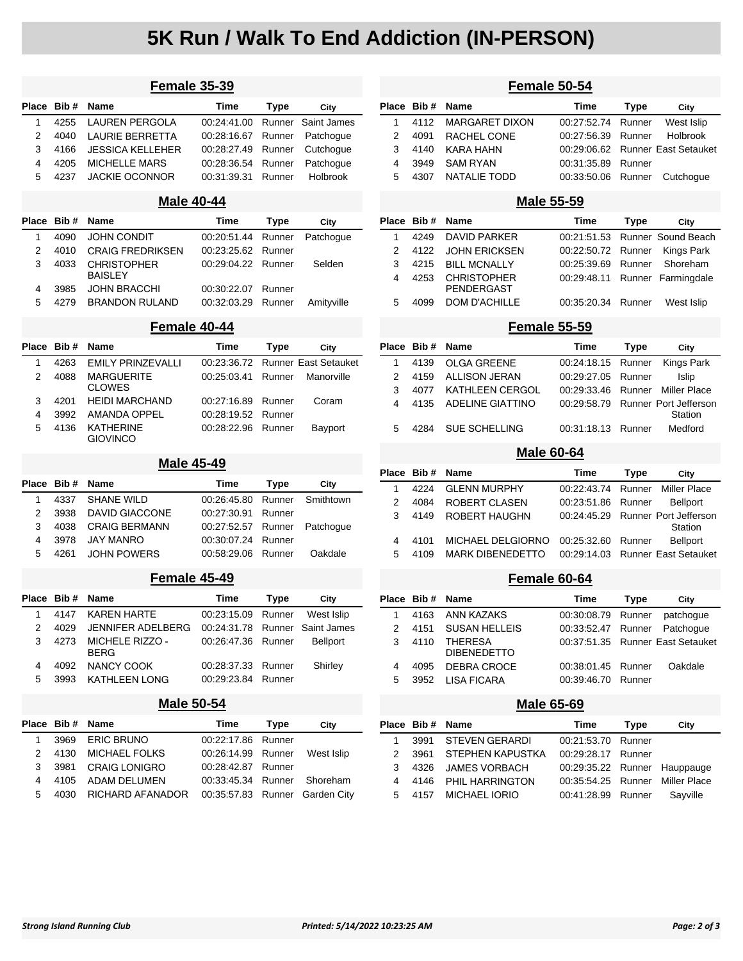# **5K Run / Walk To End Addiction (IN-PERSON)**

| Female 35-39      |      |                                      |             |             |                             |  |
|-------------------|------|--------------------------------------|-------------|-------------|-----------------------------|--|
| <b>Place</b>      | Bib# | Name                                 | Time        | Type        | City                        |  |
| 1                 | 4255 | <b>LAUREN PERGOLA</b>                | 00:24:41.00 | Runner      | Saint James                 |  |
| 2                 | 4040 | <b>LAURIE BERRETTA</b>               | 00:28:16.67 | Runner      | Patchogue                   |  |
| 3                 | 4166 | <b>JESSICA KELLEHER</b>              | 00:28:27.49 | Runner      | Cutchogue                   |  |
| 4                 | 4205 | <b>MICHELLE MARS</b>                 | 00:28:36.54 | Runner      | Patchoque                   |  |
| 5                 | 4237 | <b>JACKIE OCONNOR</b>                | 00:31:39.31 | Runner      | <b>Holbrook</b>             |  |
|                   |      | <b>Male 40-44</b>                    |             |             |                             |  |
| Place             | Bib# | <b>Name</b>                          | <b>Time</b> | <b>Type</b> | City                        |  |
| 1                 | 4090 | <b>JOHN CONDIT</b>                   | 00:20:51.44 | Runner      | Patchogue                   |  |
| 2                 | 4010 | <b>CRAIG FREDRIKSEN</b>              | 00:23:25.62 | Runner      |                             |  |
| 3                 | 4033 | <b>CHRISTOPHER</b><br><b>BAISLEY</b> | 00:29:04.22 | Runner      | Selden                      |  |
| 4                 | 3985 | <b>JOHN BRACCHI</b>                  | 00:30:22.07 | Runner      |                             |  |
| 5                 | 4279 | <b>BRANDON RULAND</b>                | 00:32:03.29 | Runner      | Amityville                  |  |
|                   |      | Female 40-44                         |             |             |                             |  |
| <b>Place</b>      | Bib# | Name                                 | Time        | <b>Type</b> | City                        |  |
| 1                 | 4263 | <b>EMILY PRINZEVALLI</b>             | 00:23:36.72 |             | <b>Runner East Setauket</b> |  |
| 2                 | 4088 | <b>MARGUERITE</b><br><b>CLOWES</b>   | 00:25:03.41 | Runner      | Manorville                  |  |
| 3                 | 4201 | <b>HEIDI MARCHAND</b>                | 00:27:16.89 | Runner      | Coram                       |  |
| 4                 | 3992 | <b>AMANDA OPPEL</b>                  | 00:28:19.52 | Runner      |                             |  |
| 5                 | 4136 | <b>KATHERINE</b>                     | 00:28:22.96 | Runner      | Bayport                     |  |
|                   |      | <b>GIOVINCO</b>                      |             |             |                             |  |
| <b>Male 45-49</b> |      |                                      |             |             |                             |  |
| <b>Place</b>      | Bib# | <b>Name</b>                          | <b>Time</b> | <b>Type</b> | City                        |  |
| 1                 | 4337 | <b>SHANE WILD</b>                    | 00:26:45.80 | Runner      | Smithtown                   |  |
| 2                 | 3938 | <b>DAVID GIACCONE</b>                | 00:27:30.91 | Runner      |                             |  |
| 3                 | 4038 | <b>CRAIG BERMANN</b>                 | 00:27:52.57 | Runner      | Patchogue                   |  |
| 4                 | 3978 | <b>JAY MANRO</b>                     | 00:30:07.24 | Runner      |                             |  |
| 5                 | 4261 | <b>JOHN POWERS</b>                   | 00:58:29.06 | Runner      | Oakdale                     |  |
|                   |      | Female 45-49                         |             |             |                             |  |
| Place             | Bib# | <b>Name</b>                          | Time        | Type        | City                        |  |
| 1                 | 4147 | <b>KAREN HARTE</b>                   | 00:23:15.09 | Runner      | West Islip                  |  |
| 2                 | 4029 | <b>JENNIFER ADELBERG</b>             | 00:24:31.78 | Runner      | Saint James                 |  |
| 3                 | 4273 | MICHELE RIZZO -<br><b>BERG</b>       | 00:26:47.36 | Runner      | Bellport                    |  |
| 4                 | 4092 | <b>NANCY COOK</b>                    | 00:28:37.33 | Runner      | Shirley                     |  |
| 5                 | 3993 | KATHLEEN LONG                        | 00:29:23.84 | Runner      |                             |  |
|                   |      | <b>Male 50-54</b>                    |             |             |                             |  |
| Place             | Bib# | Name                                 | <b>Time</b> | Type        | City                        |  |
| 1                 | 3969 | <b>ERIC BRUNO</b>                    | 00:22:17.86 | Runner      |                             |  |
| 2                 | 4130 | MICHAEL FOLKS                        | 00:26:14.99 | Runner      | West Islip                  |  |
| 3                 | 3981 | <b>CRAIG LONIGRO</b>                 | 00:28:42.87 | Runner      |                             |  |
| 4                 | 4105 | ADAM DELUMEN                         | 00:33:45.34 | Runner      | Shoreham                    |  |
| 5                 | 4030 | RICHARD AFANADOR                     | 00:35:57.83 | Runner      | Garden City                 |  |
|                   |      |                                      |             |             |                             |  |

| Female 50-54      |       |                                      |             |             |                                         |  |  |
|-------------------|-------|--------------------------------------|-------------|-------------|-----------------------------------------|--|--|
| Place             | Bib # | Name                                 | Time        | <b>Type</b> | City                                    |  |  |
| 1                 | 4112  | MARGARET DIXON                       | 00:27:52.74 | Runner      | West Islip                              |  |  |
| 2                 | 4091  | RACHEL CONE                          | 00:27:56.39 | Runner      | Holbrook                                |  |  |
| 3                 | 4140  | KARA HAHN                            | 00:29:06.62 |             | <b>Runner East Setauket</b>             |  |  |
| 4                 | 3949  | SAM RYAN                             | 00:31:35.89 | Runner      |                                         |  |  |
| 5                 | 4307  | <b>NATALIE TODD</b>                  | 00:33:50.06 | Runner      | Cutchogue                               |  |  |
|                   |       | <b>Male 55-59</b>                    |             |             |                                         |  |  |
| Place             | Bib#  | Name                                 | Time        | <b>Type</b> | City                                    |  |  |
| 1                 | 4249  | <b>DAVID PARKER</b>                  | 00:21:51.53 |             | Runner Sound Beach                      |  |  |
| 2                 | 4122  | JOHN ERICKSEN                        | 00:22:50.72 | Runner      | Kings Park                              |  |  |
| 3                 | 4215  | <b>BILL MCNALLY</b>                  | 00:25:39.69 | Runner      | Shoreham                                |  |  |
| 4                 | 4253  | CHRISTOPHER<br>PENDERGAST            | 00:29:48.11 | Runner      | Farmingdale                             |  |  |
| 5                 | 4099  | <b>DOM D'ACHILLE</b>                 | 00:35:20.34 | Runner      | West Islip                              |  |  |
|                   |       | Female 55-59                         |             |             |                                         |  |  |
| Place             | Bib#  | Name                                 | Time        | <b>Type</b> | City                                    |  |  |
| 1                 | 4139  | <b>OLGA GREENE</b>                   | 00:24:18.15 | Runner      | Kings Park                              |  |  |
| 2                 | 4159  | ALLISON JERAN                        | 00:29:27.05 | Runner      | Islip                                   |  |  |
| 3                 | 4077  | KATHLEEN CERGOL                      | 00:29:33.46 | Runner      | <b>Miller Place</b>                     |  |  |
| 4                 | 4135  | <b>ADELINE GIATTINO</b>              | 00:29:58.79 |             | <b>Runner Port Jefferson</b>            |  |  |
|                   |       | SUE SCHELLING                        |             |             | Station                                 |  |  |
| 5                 | 4284  |                                      | 00:31:18.13 | Runner      | Medford                                 |  |  |
| <b>Male 60-64</b> |       |                                      |             |             |                                         |  |  |
| Place             | Bib#  | Name                                 | Time        | Type        | City                                    |  |  |
| 1                 | 4224  | <b>GLENN MURPHY</b>                  | 00:22:43.74 | Runner      | <b>Miller Place</b>                     |  |  |
| 2                 | 4084  | ROBERT CLASEN                        | 00:23:51.86 | Runner      | <b>Bellport</b>                         |  |  |
| 3                 | 4149  | ROBERT HAUGHN                        | 00:24:45.29 |             | <b>Runner Port Jefferson</b><br>Station |  |  |
| 4                 | 4101  | MICHAEL DELGIORNO                    | 00:25:32.60 | Runner      | <b>Bellport</b>                         |  |  |
| 5                 | 4109  | <b>MARK DIBENEDETTO</b>              | 00:29:14.03 |             | <b>Runner East Setauket</b>             |  |  |
|                   |       | Female 60-64                         |             |             |                                         |  |  |
| Place             | Bib # | Name                                 | Time        | Type        | City                                    |  |  |
| 1                 | 4163  | <b>ANN KAZAKS</b>                    | 00:30:08.79 | Runner      | patchogue                               |  |  |
| 2                 | 4151  | <b>SUSAN HELLEIS</b>                 | 00:33:52.47 | Runner      | Patchogue                               |  |  |
| 3                 | 4110  | <b>THERESA</b><br><b>DIBENEDETTO</b> | 00:37:51.35 |             | Runner East Setauket                    |  |  |
| 4                 | 4095  | DEBRA CROCE                          | 00:38:01.45 | Runner      | Oakdale                                 |  |  |
| 5                 | 3952  | <b>LISA FICARA</b>                   | 00:39:46.70 | Runner      |                                         |  |  |
|                   |       | <b>Male 65-69</b>                    |             |             |                                         |  |  |
|                   |       |                                      |             |             |                                         |  |  |
| Place             | Bib#  | Name                                 | Time        | <b>Type</b> | City                                    |  |  |
| 1                 | 3991  | <b>STEVEN GERARDI</b>                | 00:21:53.70 | Runner      |                                         |  |  |
| 2                 | 3961  | STEPHEN KAPUSTKA                     | 00:29:28.17 | Runner      |                                         |  |  |
| 3                 | 4326  | JAMES VORBACH                        | 00:29:35.22 | Runner      | Hauppauge                               |  |  |
| 4                 | 4146  | PHIL HARRINGTON                      | 00:35:54.25 | Runner      | <b>Miller Place</b>                     |  |  |
| 5                 | 4157  | <b>MICHAEL IORIO</b>                 | 00:41:28.99 | Runner      | Sayville                                |  |  |